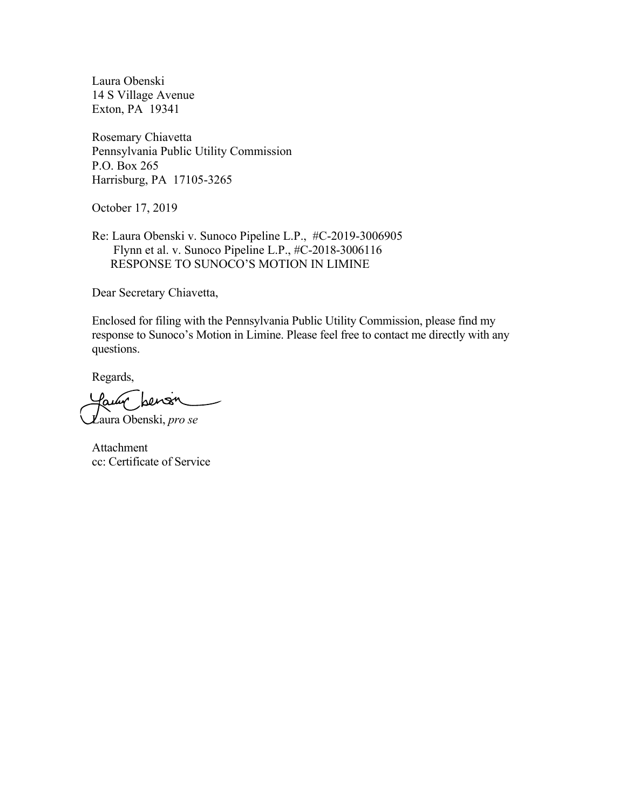Laura Obenski 14 S Village Avenue Exton, PA 19341

Rosemary Chiavetta Pennsylvania Public Utility Commission P.O. Box 265 Harrisburg, PA 17105-3265

October 17, 2019

Re: Laura Obenski v. Sunoco Pipeline L.P., #C-2019-3006905 Flynn et al. v. Sunoco Pipeline L.P., #C-2018-3006116 RESPONSE TO SUNOCO'S MOTION IN LIMINE

Dear Secretary Chiavetta,

Enclosed for filing with the Pennsylvania Public Utility Commission, please find my response to Sunoco's Motion in Limine. Please feel free to contact me directly with any questions.

Regards,

lauw hens Laura Obenski, *pro se*

Attachment cc: Certificate of Service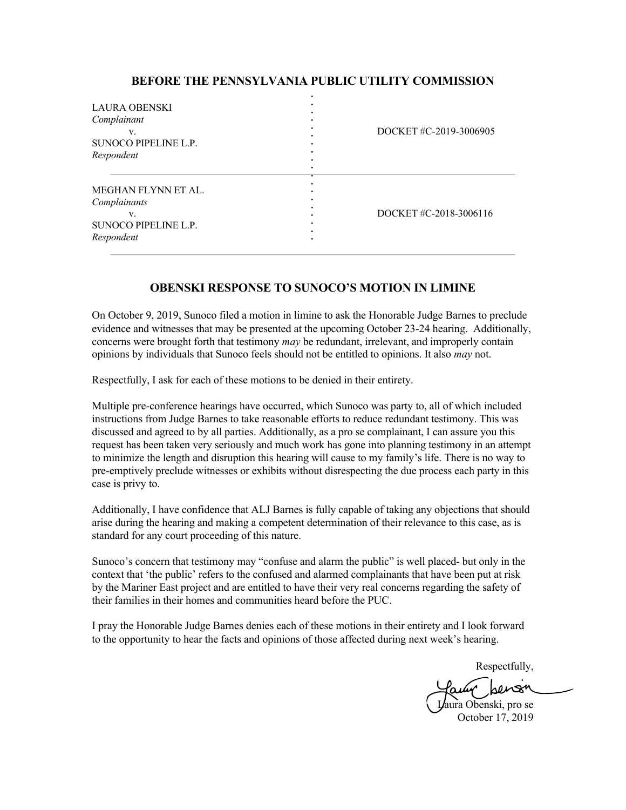## **BEFORE THE PENNSYLVANIA PUBLIC UTILITY COMMISSION**

| <b>LAURA OBENSKI</b><br>Complainant<br>V.<br>SUNOCO PIPELINE L.P.<br>Respondent |   | DOCKET#C-2019-3006905  |
|---------------------------------------------------------------------------------|---|------------------------|
| MEGHAN FLYNN ET AL.<br>Complainants<br>V.<br>SUNOCO PIPELINE L.P.<br>Respondent | ٠ | DOCKET #C-2018-3006116 |

## **OBENSKI RESPONSE TO SUNOCO'S MOTION IN LIMINE**

On October 9, 2019, Sunoco filed a motion in limine to ask the Honorable Judge Barnes to preclude evidence and witnesses that may be presented at the upcoming October 23-24 hearing. Additionally, concerns were brought forth that testimony *may* be redundant, irrelevant, and improperly contain opinions by individuals that Sunoco feels should not be entitled to opinions. It also *may* not.

Respectfully, I ask for each of these motions to be denied in their entirety.

Multiple pre-conference hearings have occurred, which Sunoco was party to, all of which included instructions from Judge Barnes to take reasonable efforts to reduce redundant testimony. This was discussed and agreed to by all parties. Additionally, as a pro se complainant, I can assure you this request has been taken very seriously and much work has gone into planning testimony in an attempt to minimize the length and disruption this hearing will cause to my family's life. There is no way to pre-emptively preclude witnesses or exhibits without disrespecting the due process each party in this case is privy to.

Additionally, I have confidence that ALJ Barnes is fully capable of taking any objections that should arise during the hearing and making a competent determination of their relevance to this case, as is standard for any court proceeding of this nature.

Sunoco's concern that testimony may "confuse and alarm the public" is well placed- but only in the context that 'the public' refers to the confused and alarmed complainants that have been put at risk by the Mariner East project and are entitled to have their very real concerns regarding the safety of their families in their homes and communities heard before the PUC.

I pray the Honorable Judge Barnes denies each of these motions in their entirety and I look forward to the opportunity to hear the facts and opinions of those affected during next week's hearing.

Respectfully,

Laura Obenski, pro se October 17, 2019